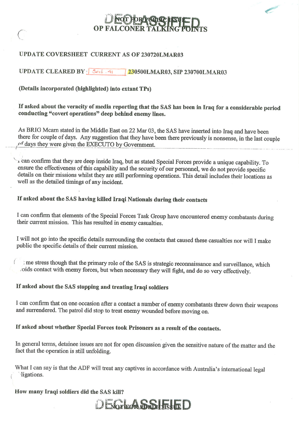#### UPDATE COVERSHEET CURRENT AS OF 230720LMAR03

#### **UPDATE CLEARED BY**  $\left| \begin{array}{c} \mathsf{Sect}\ \mathsf{.4}\end{array}\right|$ 230500LMAR03, SIP 230700LMAR03

#### (Details incorporated (highlighted) into extant TPs)

If asked about the veracity of media reporting that the SAS has been in Iraq for a considerable period conducting "covert operations" deep behind enemy lines.

As BRIG Mcarn stated in the Middle East on 22 Mar 03, the SAS have inserted into Iraq and have been there for couple of days. Any suggestion that they have been there previously is nonsense, in the last couple of days they were given the EXECUTO by Government.

r can confirm that they are deep inside Iraq, but as stated Special Forces provide a unique capability. To ensure the effectiveness of this capability and the security of our personnel, we do not provide specific details on their missions whilst they are still performing operations. This detail includes their locations as well as the detailed timings of any incident.

## If asked about the SAS having killed Iraqi Nationals during their contacts

I can confirm that elements of the Special Forces Task Group have encountered enemy combatants during their current mission. This has resulted in enemy casualties.

I will not go into the specific details surrounding the contacts that caused these casualties nor will I make public the specific details of their current mission.

me stress though that the primary role of the SAS is strategic reconnaissance and surveillance, which oids contact with enemy forces, but when necessary they will fight, and do so very effectively.

#### If asked about the SAS stopping and treating Iraqi soldiers

I can confirm that on one occasion after a contact a number of enemy combatants threw down their weapons and surrendered. The patrol did stop to treat enemy wounded before moving on.

#### If asked about whether Special Forces took Prisoners as a result of the contacts.

In general terms, detainee issues are not for open discussion given the sensitive nature of the matter and the fact that the operation is still unfolding.

What I can say is that the ADF will treat any captives in accordance with Australia's international legal ligations.

#### How many Iraqi soldiers did the SAS kill?

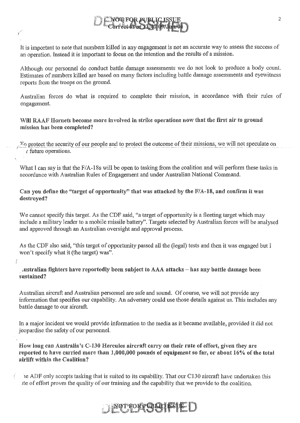It is important to note that numbers killed in any engagement is not an accurate way to assess the success of an operation. Instead it is important to focus on the intention and the results of a mission.

Although our personnel do conduct battle damage assessments we do not look to produce a body count. Estimates of numbers killed are based on many factors including battle damage assessments and eyewitness reports from the troops on the ground.

Australian forces do what is required to complete their mission, in accordance with their rules of engagement.

Will RAAF Hornets become more involved in strike operations now that the first air to ground mission has been completed?

To protect the security of our people and to protect the outcome of their missions, we will not speculate on  $\int$  future operations.

What I can say is that the *F*/A-18s will be open to tasking from the coalition and will perform these tasks in accordance with Australian Rules of Engagement and under Australian National Command.

Can you define the "target of opportunity" that was attacked by the  $F/A-18$ , and confirm it was destroyed?

We cannot specify this target. As the CDF said, "a target of opportunity is a fleeting target which may include a military leader to a mobile missile battery". Targets selected by Australian forces will be analysed and approved through an Australian oversight and approval process.

As the CDF also said, "this target of opportunity passed all the (legal) tests and then it was engaged but I won't specify what it (the target) was".

ustralian fighters have reportedly been subject to AAA attacks - has any battle damage been sustained?

(

Australian aircraft and Australian personnel are safe and sound. Of course, we will not provide any information that specifies our capability. An adversary could use those details against us. This includes any battle damage to our aircraft,

In a major incident we would provide information to the media as it became available, provided it did not jeopardise the safety of our personnel.

How long can Australia's C-130 Hercules aircraft carry on their rate of effort, given they are reported to have carried more than  $1,000,000$  pounds of equipment so far, or about  $16\%$  of the total airlift within the Coalition?

le ADF only accepts tasking that is suited to its capability. That our C130 aircraft have undertaken this ate of effort proves the quality of our training and the capability that we provide to the coalition.

## **SOFFORE CHARLES DE**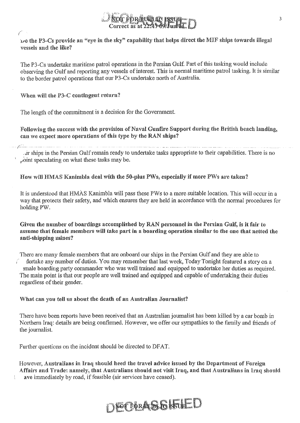

 $\nu$ o the P3-Cs provide an "eye in the sky" capability that helps direct the MIF ships towards illegal vessels and the like?

The P3-Cs undertake maritime patrol operations in the Persian Gulf. Part of this tasking would include observing the Gulf and reporting any vessels of interest. This is normal maritime patrol tasking. It is similar to the border patrol operations that our P3-Cs undertake north of Australia.

When will the P3-C contingent return?

(

ŧ

The length of the commitment is a decision for the Government.

Following the success with the provision of Naval Gunfire Support during the British beach landing, can we expect morc operations of this type by the RAN ships?

. clr ships in the Persian Gulf remain ready to undertake tasks appropriate to their capabilities. There is no  $\phi$  oint speculating on what these tasks may be.

#### How will HMAS Kanimbla deal with the 50-plus PWs, especially if more PWs are taken?

It is understood that HMAS Kanimbla will pass these PWs to a more suitable location. This will occur in a way that protects their safety, and which ensures they are held in accordance with the normal procedures for holdingPW.

Given the number of boardings accomplished by RAN personnel in the Persian Gulf, is it fair to assume that female members will take part in a boarding operation similar to the one that netted the anti-shipping mines?

There are many female members that are onboard our ships in the Persian Gulf and they are able to dertake any number of duties. You may remember that last week, Today Tonight featured a story on a r" ~male boarding party commander who was well trained and equipped to undertake her duties as required. The main point is that our people are well trained and equipped and capable of undertaking their duties regardless of their gender.

#### What can you tell us about the death of an Australian Journalist?

There have been reports have been received that an Australian journalist has been killed by a car bomb in Northern Iraq: details are being confirmed. However, we offer our sympathies to the family and friends of the journalist.

Further questions on the incident should be directed to DFAT.

However, Australians in Iraq should heed the travel advice issued by the Department of Foreign Affairs and Trade: namely, that Australians should not visit Iraq, and that Australians in Iraq should ave immediately by road, if feasible (air services have ceased).

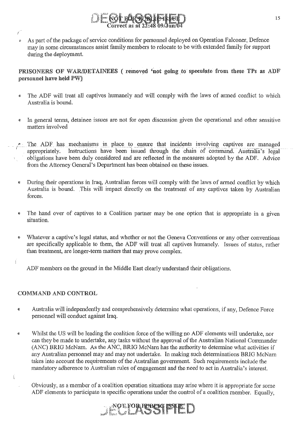

 $\ell$  As part of the package of service conditions for personnel deployed on Operation Falconer, Defence may in some circumstances assist family members to relocate to be with extended family for support during the deployment.

#### PRISONERS OF WAR/DETAINEES (removed 'not going to speculate from these TPs as ADF personnel have held PW)

- The ADF will treat all captives humanely and will comply with the laws of armed conflict to which Australia is bound.
- In general tenns, detainee issues are not for open discussion given the operational and other sensitive matters involved
- I ~. The ADF has mechanisms in place to ensure that incidents involving captives are managed<br>appropriately. Instructions have been issued through the chain of command. Australia's legal Instructions have been issued through the chain of command. Australia's legal obligations have been duly considered and are reflected in the measures adopted by the ADF. Advice from the Attorney General's Department has been obtained on these issues.
- During their operations in Iraq, Australian forces will comply with the laws of armed conflict by which Australia is bound. This will impact directly on the treatment of any captives taken by Australian forces.
- The hand over of captives to a Coalition partner may be one option that is appropriate in a given situation.
- Whatever a captive's legal status, and whether or not the Geneva Conventions or any other conventions are specifically applicable to them, the ADF will treat all captives humanely. Issues of status, rather than treatment, are longer-term matters that may prove complex.

ADF members on the ground in the Middle East clearly understand their obligations.

#### COMMAND AND CONTROL

ý.

Ť

 $\mathcal{L}$ 

- Australia will independently and comprehensively detennine what operations, if any, Defence Force personnel will conduct against Iraq.
- Whilst the US will be leading the coalition force of the willing no ADF elements will undertake, nor can they be made to undertake, any tasks without the approval of the Australian National Commander (ANC) BRIG McNarn. As the ANC, BRIG McNarn has the authority to determine what activities if any Australian personnel may and may not undertake. In making such determinations BRIG McNarn takes into account the requirements of the Australian govemment. Such requirements include the mandatory adherence to Australian rules of engagement and the need to act in Australia's interest.
	- Obviously, as a member of a coalition operation situations may arise where it is appropriate for some ADF elements to participate in specific operations under the control of a coalition member. Equally,